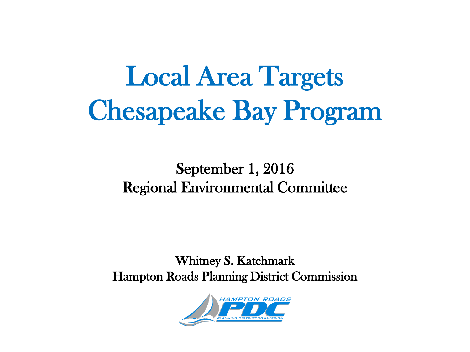# Local Area Targets Chesapeake Bay Program

#### September 1, 2016 Regional Environmental Committee

Whitney S. Katchmark Hampton Roads Planning District Commission

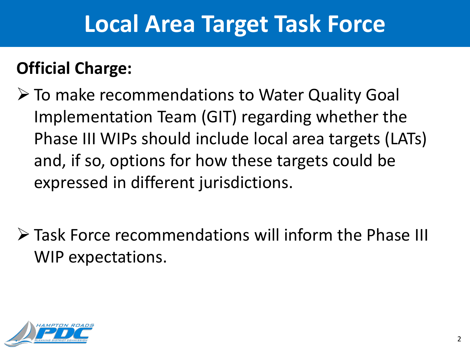## **Local Area Target Task Force**

#### **Official Charge:**

- To make recommendations to Water Quality Goal Implementation Team (GIT) regarding whether the Phase III WIPs should include local area targets (LATs) and, if so, options for how these targets could be expressed in different jurisdictions.
- Task Force recommendations will inform the Phase III WIP expectations.

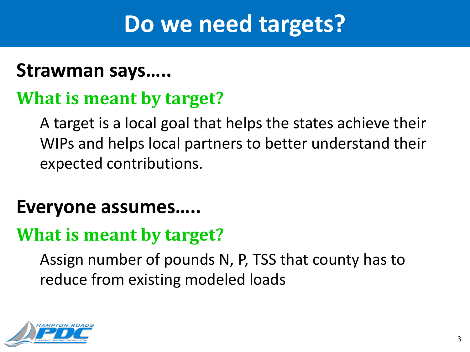## **Do we need targets?**

#### **Strawman says…..**

#### **What is meant by target?**

A target is a local goal that helps the states achieve their WIPs and helps local partners to better understand their expected contributions.

#### **Everyone assumes…..**

#### **What is meant by target?**

Assign number of pounds N, P, TSS that county has to reduce from existing modeled loads

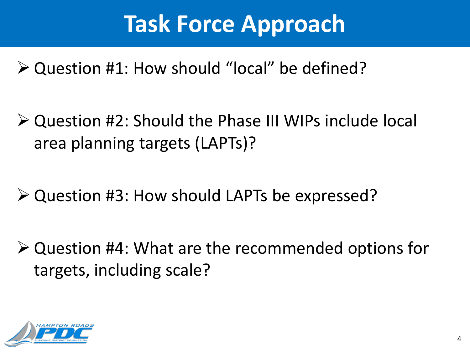## **Task Force Approach**

- Question #1: How should "local" be defined?
- Question #2: Should the Phase III WIPs include local area planning targets (LAPTs)?
- Question #3: How should LAPTs be expressed?
- Question #4: What are the recommended options for targets, including scale?

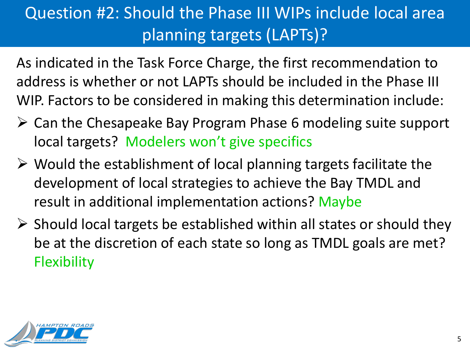#### Question #2: Should the Phase III WIPs include local area planning targets (LAPTs)?

As indicated in the Task Force Charge, the first recommendation to address is whether or not LAPTs should be included in the Phase III WIP. Factors to be considered in making this determination include:

- $\triangleright$  Can the Chesapeake Bay Program Phase 6 modeling suite support local targets? Modelers won't give specifics
- $\triangleright$  Would the establishment of local planning targets facilitate the development of local strategies to achieve the Bay TMDL and result in additional implementation actions? Maybe
- $\triangleright$  Should local targets be established within all states or should they be at the discretion of each state so long as TMDL goals are met? **Flexibility**

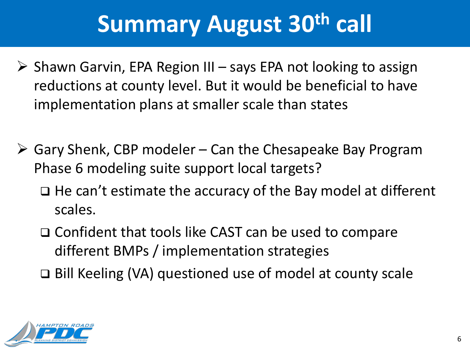## **Summary August 30th call**

- $\triangleright$  Shawn Garvin, EPA Region III says EPA not looking to assign reductions at county level. But it would be beneficial to have implementation plans at smaller scale than states
- $\triangleright$  Gary Shenk, CBP modeler Can the Chesapeake Bay Program Phase 6 modeling suite support local targets?
	- $\Box$  He can't estimate the accuracy of the Bay model at different scales.
	- □ Confident that tools like CAST can be used to compare different BMPs / implementation strategies

Bill Keeling (VA) questioned use of model at county scale

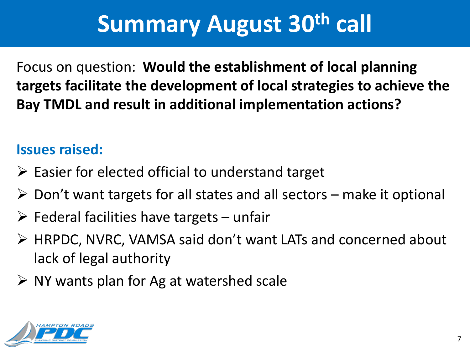## **Summary August 30th call**

Focus on question: **Would the establishment of local planning targets facilitate the development of local strategies to achieve the Bay TMDL and result in additional implementation actions?**

#### **Issues raised:**

- $\triangleright$  Easier for elected official to understand target
- $\triangleright$  Don't want targets for all states and all sectors make it optional
- $\triangleright$  Federal facilities have targets unfair
- HRPDC, NVRC, VAMSA said don't want LATs and concerned about lack of legal authority
- $\triangleright$  NY wants plan for Ag at watershed scale

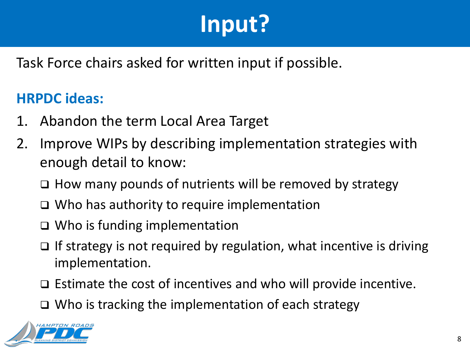## **Input?**

Task Force chairs asked for written input if possible.

#### **HRPDC ideas:**

- 1. Abandon the term Local Area Target
- 2. Improve WIPs by describing implementation strategies with enough detail to know:
	- $\Box$  How many pounds of nutrients will be removed by strategy
	- Who has authority to require implementation
	- Who is funding implementation
	- $\Box$  If strategy is not required by regulation, what incentive is driving implementation.
	- $\Box$  Estimate the cost of incentives and who will provide incentive.
	- $\Box$  Who is tracking the implementation of each strategy

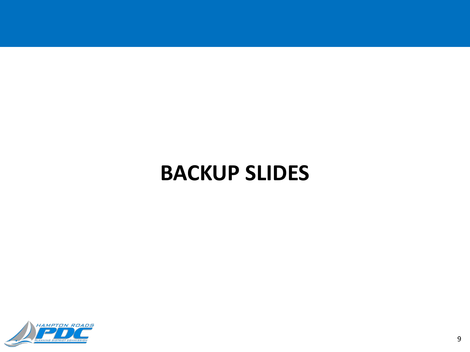### **BACKUP SLIDES**

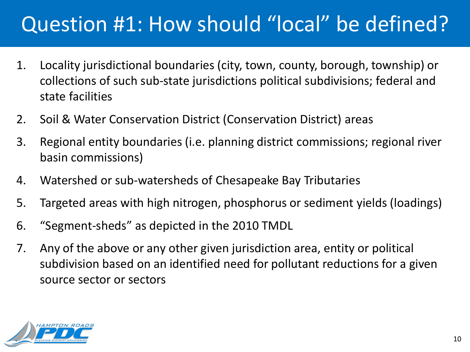### Question #1: How should "local" be defined?

- 1. Locality jurisdictional boundaries (city, town, county, borough, township) or collections of such sub-state jurisdictions political subdivisions; federal and state facilities
- 2. Soil & Water Conservation District (Conservation District) areas
- 3. Regional entity boundaries (i.e. planning district commissions; regional river basin commissions)
- 4. Watershed or sub-watersheds of Chesapeake Bay Tributaries
- 5. Targeted areas with high nitrogen, phosphorus or sediment yields (loadings)
- 6. "Segment-sheds" as depicted in the 2010 TMDL
- 7. Any of the above or any other given jurisdiction area, entity or political subdivision based on an identified need for pollutant reductions for a given source sector or sectors

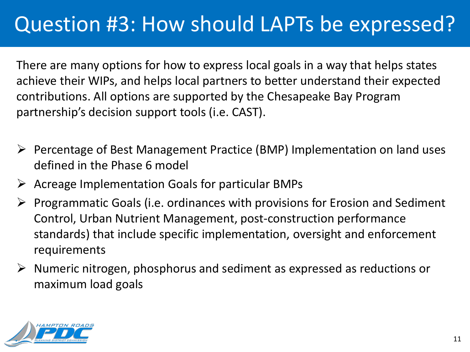#### Question #3: How should LAPTs be expressed?

There are many options for how to express local goals in a way that helps states achieve their WIPs, and helps local partners to better understand their expected contributions. All options are supported by the Chesapeake Bay Program partnership's decision support tools (i.e. CAST).

- $\triangleright$  Percentage of Best Management Practice (BMP) Implementation on land uses defined in the Phase 6 model
- $\triangleright$  Acreage Implementation Goals for particular BMPs
- $\triangleright$  Programmatic Goals (i.e. ordinances with provisions for Erosion and Sediment Control, Urban Nutrient Management, post-construction performance standards) that include specific implementation, oversight and enforcement requirements
- $\triangleright$  Numeric nitrogen, phosphorus and sediment as expressed as reductions or maximum load goals